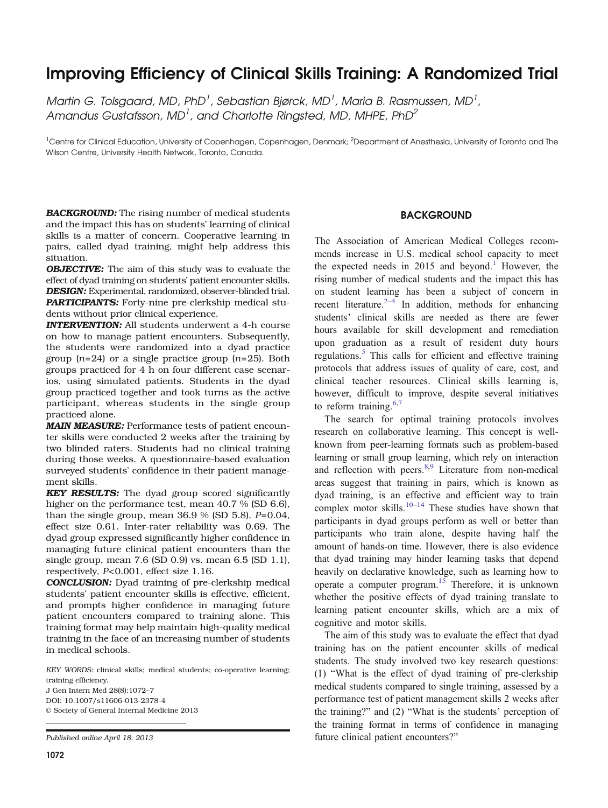# Improving Efficiency of Clinical Skills Training: A Randomized Trial

Martin G. Tolsgaard, MD, PhD<sup>1</sup>, Sebastian Bjørck, MD<sup>1</sup>, Maria B. Rasmussen, MD<sup>1</sup>, Amandus Gustafsson, MD<sup>1</sup>, and Charlotte Ringsted, MD, MHPE, PhD<sup>2</sup>

<sup>1</sup>Centre for Clinical Education, University of Copenhagen, Copenhagen, Denmark; <sup>2</sup>Department of Anesthesia, University of Toronto and The Wilson Centre, University Health Network, Toronto, Canada.

BACKGROUND: The rising number of medical students and the impact this has on students' learning of clinical skills is a matter of concern. Cooperative learning in pairs, called dyad training, might help address this situation.

**OBJECTIVE:** The aim of this study was to evaluate the effect of dyad training on students' patient encounter skills. DESIGN: Experimental, randomized, observer-blinded trial. PARTICIPANTS: Forty-nine pre-clerkship medical students without prior clinical experience.

INTERVENTION: All students underwent a 4-h course on how to manage patient encounters. Subsequently, the students were randomized into a dyad practice group  $(n=24)$  or a single practice group  $(n=25)$ . Both groups practiced for 4 h on four different case scenarios, using simulated patients. Students in the dyad group practiced together and took turns as the active participant, whereas students in the single group practiced alone.

MAIN MEASURE: Performance tests of patient encounter skills were conducted 2 weeks after the training by two blinded raters. Students had no clinical training during those weeks. A questionnaire-based evaluation surveyed students' confidence in their patient management skills.

**KEY RESULTS:** The dyad group scored significantly higher on the performance test, mean 40.7 % (SD 6.6), than the single group, mean  $36.9\%$  (SD 5.8), P=0.04, effect size 0.61. Inter-rater reliability was 0.69. The dyad group expressed significantly higher confidence in managing future clinical patient encounters than the single group, mean 7.6 (SD 0.9) vs. mean 6.5 (SD 1.1), respectively, P<0.001, effect size 1.16.

CONCLUSION: Dyad training of pre-clerkship medical students' patient encounter skills is effective, efficient, and prompts higher confidence in managing future patient encounters compared to training alone. This training format may help maintain high-quality medical training in the face of an increasing number of students in medical schools.

KEY WORDS: clinical skills; medical students; co-operative learning; training efficiency. J Gen Intern Med 28(8):1072–7

DOI: 10.1007/s11606-013-2378-4 © Society of General Internal Medicine 2013

#### BACKGROUND

The Association of American Medical Colleges recommends increase in U.S. medical school capacity to meet the expected needs in 20[1](#page-4-0)5 and beyond.<sup>1</sup> However, the rising number of medical students and the impact this has on student learning has been a subject of concern in recent literature. $2-4$  $2-4$  $2-4$  In addition, methods for enhancing students' clinical skills are needed as there are fewer hours available for skill development and remediation upon graduation as a result of resident duty hours regulations.<sup>[5](#page-4-0)</sup> This calls for efficient and effective training protocols that address issues of quality of care, cost, and clinical teacher resources. Clinical skills learning is, however, difficult to improve, despite several initiatives to reform training. $6,7$ 

The search for optimal training protocols involves research on collaborative learning. This concept is wellknown from peer-learning formats such as problem-based learning or small group learning, which rely on interaction and reflection with peers.<sup>[8,9](#page-4-0)</sup> Literature from non-medical areas suggest that training in pairs, which is known as dyad training, is an effective and efficient way to train complex motor skills.<sup>[10](#page-4-0)–[14](#page-4-0)</sup> These studies have shown that participants in dyad groups perform as well or better than participants who train alone, despite having half the amount of hands-on time. However, there is also evidence that dyad training may hinder learning tasks that depend heavily on declarative knowledge, such as learning how to operate a computer program.[15](#page-4-0) Therefore, it is unknown whether the positive effects of dyad training translate to learning patient encounter skills, which are a mix of cognitive and motor skills.

The aim of this study was to evaluate the effect that dyad training has on the patient encounter skills of medical students. The study involved two key research questions: (1) "What is the effect of dyad training of pre-clerkship medical students compared to single training, assessed by a performance test of patient management skills 2 weeks after the training?" and (2) "What is the students' perception of the training format in terms of confidence in managing Published online April 18, 2013 **future clinical patient encounters?"**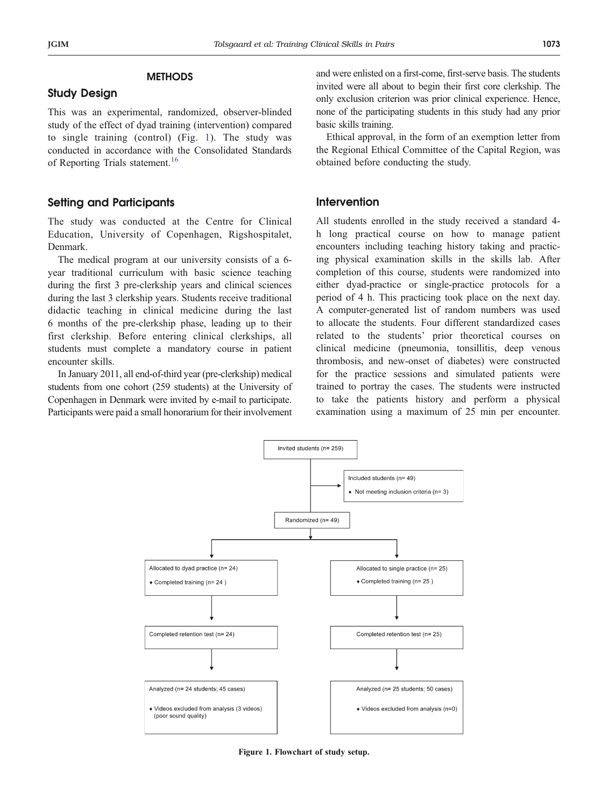#### **METHODS**

# Study Design

This was an experimental, randomized, observer-blinded study of the effect of dyad training (intervention) compared to single training (control) (Fig. 1). The study was conducted in accordance with the Consolidated Standards of Reporting Trials statement.[16](#page-5-0)

#### Setting and Participants

The study was conducted at the Centre for Clinical Education, University of Copenhagen, Rigshospitalet, Denmark.

The medical program at our university consists of a 6 year traditional curriculum with basic science teaching during the first 3 pre-clerkship years and clinical sciences during the last 3 clerkship years. Students receive traditional didactic teaching in clinical medicine during the last 6 months of the pre-clerkship phase, leading up to their first clerkship. Before entering clinical clerkships, all students must complete a mandatory course in patient encounter skills.

In January 2011, all end-of-third year (pre-clerkship) medical students from one cohort (259 students) at the University of Copenhagen in Denmark were invited by e-mail to participate. Participants were paid a small honorarium for their involvement and were enlisted on a first-come, first-serve basis. The students invited were all about to begin their first core clerkship. The only exclusion criterion was prior clinical experience. Hence, none of the participating students in this study had any prior basic skills training.

Ethical approval, in the form of an exemption letter from the Regional Ethical Committee of the Capital Region, was obtained before conducting the study.

## Intervention

All students enrolled in the study received a standard 4 h long practical course on how to manage patient encounters including teaching history taking and practicing physical examination skills in the skills lab. After completion of this course, students were randomized into either dyad-practice or single-practice protocols for a period of 4 h. This practicing took place on the next day. A computer-generated list of random numbers was used to allocate the students. Four different standardized cases related to the students' prior theoretical courses on clinical medicine (pneumonia, tonsillitis, deep venous thrombosis, and new-onset of diabetes) were constructed for the practice sessions and simulated patients were trained to portray the cases. The students were instructed to take the patients history and perform a physical examination using a maximum of 25 min per encounter.



Figure 1. Flowchart of study setup.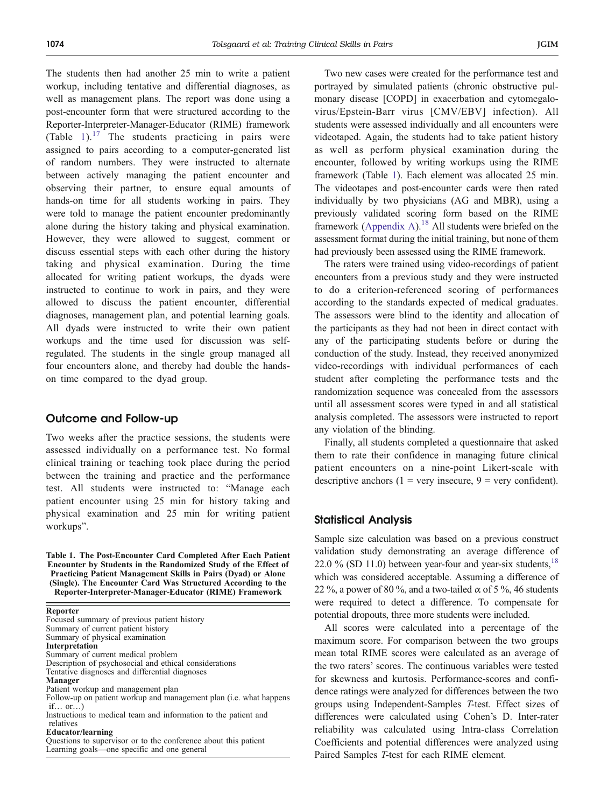The students then had another 25 min to write a patient workup, including tentative and differential diagnoses, as well as management plans. The report was done using a post-encounter form that were structured according to the Reporter-Interpreter-Manager-Educator (RIME) framework (Table 1). $^{17}$  $^{17}$  $^{17}$  The students practicing in pairs were assigned to pairs according to a computer-generated list of random numbers. They were instructed to alternate between actively managing the patient encounter and observing their partner, to ensure equal amounts of hands-on time for all students working in pairs. They were told to manage the patient encounter predominantly alone during the history taking and physical examination. However, they were allowed to suggest, comment or discuss essential steps with each other during the history taking and physical examination. During the time allocated for writing patient workups, the dyads were instructed to continue to work in pairs, and they were allowed to discuss the patient encounter, differential diagnoses, management plan, and potential learning goals. All dyads were instructed to write their own patient workups and the time used for discussion was selfregulated. The students in the single group managed all four encounters alone, and thereby had double the handson time compared to the dyad group.

## Outcome and Follow-up

Two weeks after the practice sessions, the students were assessed individually on a performance test. No formal clinical training or teaching took place during the period between the training and practice and the performance test. All students were instructed to: "Manage each patient encounter using 25 min for history taking and physical examination and 25 min for writing patient workups".

Table 1. The Post-Encounter Card Completed After Each Patient Encounter by Students in the Randomized Study of the Effect of Practicing Patient Management Skills in Pairs (Dyad) or Alone (Single). The Encounter Card Was Structured According to the Reporter-Interpreter-Manager-Educator (RIME) Framework

Reporter Focused summary of previous patient history Summary of current patient history Summary of physical examination Interpretation Summary of current medical problem Description of psychosocial and ethical considerations Tentative diagnoses and differential diagnoses Manager Patient workup and management plan Follow-up on patient workup and management plan (i.e. what happens if… or…) Instructions to medical team and information to the patient and relatives Educator/learning Questions to supervisor or to the conference about this patient Learning goals—one specific and one general

Two new cases were created for the performance test and portrayed by simulated patients (chronic obstructive pulmonary disease [COPD] in exacerbation and cytomegalovirus/Epstein-Barr virus [CMV/EBV] infection). All students were assessed individually and all encounters were videotaped. Again, the students had to take patient history as well as perform physical examination during the encounter, followed by writing workups using the RIME framework (Table 1). Each element was allocated 25 min. The videotapes and post-encounter cards were then rated individually by two physicians (AG and MBR), using a previously validated scoring form based on the RIME framework ([Appendix A](#page-5-0)).<sup>[18](#page-5-0)</sup> All students were briefed on the assessment format during the initial training, but none of them had previously been assessed using the RIME framework.

The raters were trained using video-recordings of patient encounters from a previous study and they were instructed to do a criterion-referenced scoring of performances according to the standards expected of medical graduates. The assessors were blind to the identity and allocation of the participants as they had not been in direct contact with any of the participating students before or during the conduction of the study. Instead, they received anonymized video-recordings with individual performances of each student after completing the performance tests and the randomization sequence was concealed from the assessors until all assessment scores were typed in and all statistical analysis completed. The assessors were instructed to report any violation of the blinding.

Finally, all students completed a questionnaire that asked them to rate their confidence in managing future clinical patient encounters on a nine-point Likert-scale with descriptive anchors ( $1 = \text{very}$  insecure,  $9 = \text{very}$  confident).

## Statistical Analysis

Sample size calculation was based on a previous construct validation study demonstrating an average difference of 22.0 % (SD 11.0) between year-four and year-six students,  $^{18}$  $^{18}$  $^{18}$ which was considered acceptable. Assuming a difference of 22 %, a power of 80 %, and a two-tailed  $\alpha$  of 5 %, 46 students were required to detect a difference. To compensate for potential dropouts, three more students were included.

All scores were calculated into a percentage of the maximum score. For comparison between the two groups mean total RIME scores were calculated as an average of the two raters' scores. The continuous variables were tested for skewness and kurtosis. Performance-scores and confidence ratings were analyzed for differences between the two groups using Independent-Samples T-test. Effect sizes of differences were calculated using Cohen's D. Inter-rater reliability was calculated using Intra-class Correlation Coefficients and potential differences were analyzed using Paired Samples T-test for each RIME element.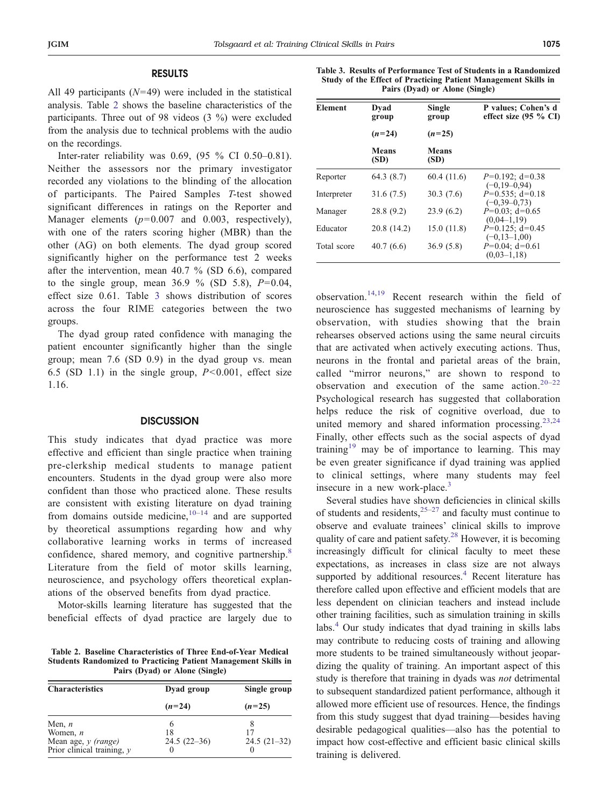## RESULTS

All 49 participants  $(N=49)$  were included in the statistical analysis. Table 2 shows the baseline characteristics of the participants. Three out of 98 videos (3 %) were excluded from the analysis due to technical problems with the audio on the recordings.

Inter-rater reliability was 0.69, (95 % CI 0.50–0.81). Neither the assessors nor the primary investigator recorded any violations to the blinding of the allocation of participants. The Paired Samples T-test showed significant differences in ratings on the Reporter and Manager elements  $(p=0.007$  and 0.003, respectively), with one of the raters scoring higher (MBR) than the other (AG) on both elements. The dyad group scored significantly higher on the performance test 2 weeks after the intervention, mean 40.7 % (SD 6.6), compared to the single group, mean  $36.9 \%$  (SD 5.8),  $P=0.04$ , effect size 0.61. Table 3 shows distribution of scores across the four RIME categories between the two groups.

The dyad group rated confidence with managing the patient encounter significantly higher than the single group; mean 7.6 (SD 0.9) in the dyad group vs. mean 6.5 (SD 1.1) in the single group,  $P < 0.001$ , effect size 1.16.

#### **DISCUSSION**

This study indicates that dyad practice was more effective and efficient than single practice when training pre-clerkship medical students to manage patient encounters. Students in the dyad group were also more confident than those who practiced alone. These results are consistent with existing literature on dyad training from domains outside medicine,  $10-14$  $10-14$  $10-14$  and are supported by theoretical assumptions regarding how and why collaborative learning works in terms of increased confidence, shared memory, and cognitive partnership.<sup>[8](#page-4-0)</sup> Literature from the field of motor skills learning, neuroscience, and psychology offers theoretical explanations of the observed benefits from dyad practice.

Motor-skills learning literature has suggested that the beneficial effects of dyad practice are largely due to

Table 2. Baseline Characteristics of Three End-of-Year Medical Students Randomized to Practicing Patient Management Skills in Pairs (Dyad) or Alone (Single)

| <b>Characteristics</b>       | Dyad group    | Single group<br>$(n=25)$ |  |  |
|------------------------------|---------------|--------------------------|--|--|
|                              | $(n=24)$      |                          |  |  |
| Men, $n$                     | h             |                          |  |  |
| Women, $n$                   | 18            | 17                       |  |  |
| Mean age, $y$ (range)        | $24.5(22-36)$ | $24.5(21-32)$            |  |  |
| Prior clinical training, $y$ |               |                          |  |  |

Table 3. Results of Performance Test of Students in a Randomized Study of the Effect of Practicing Patient Management Skills in Pairs (Dyad) or Alone (Single)

| <b>Element</b> | Dyad<br>group | Single<br>group      | P values; Cohen's d<br>effect size $(95 %$ CI |  |  |  |
|----------------|---------------|----------------------|-----------------------------------------------|--|--|--|
|                | $(n=24)$      | $(n=25)$             |                                               |  |  |  |
|                | Means<br>(SD) | <b>Means</b><br>(SD) |                                               |  |  |  |
| Reporter       | 64.3(8.7)     | 60.4 (11.6)          | $P=0.192$ ; d=0.38<br>$(-0.19-0.94)$          |  |  |  |
| Interpreter    | 31.6(7.5)     | 30.3(7.6)            | $P=0.535$ ; d=0.18<br>$(-0.39 - 0.73)$        |  |  |  |
| Manager        | 28.8 (9.2)    | 23.9(6.2)            | $P=0.03$ ; d=0.65<br>$(0,04-1,19)$            |  |  |  |
| Educator       | 20.8 (14.2)   | 15.0(11.8)           | $P=0.125$ ; d=0.45<br>$(-0, 13-1, 00)$        |  |  |  |
| Total score    | 40.7(6.6)     | 36.9(5.8)            | $P=0.04$ ; d=0.61<br>$(0, 03-1, 18)$          |  |  |  |

observation.[14](#page-4-0)[,19](#page-5-0) Recent research within the field of neuroscience has suggested mechanisms of learning by observation, with studies showing that the brain rehearses observed actions using the same neural circuits that are activated when actively executing actions. Thus, neurons in the frontal and parietal areas of the brain, called "mirror neurons," are shown to respond to observation and execution of the same action. $20-22$  $20-22$  $20-22$ Psychological research has suggested that collaboration helps reduce the risk of cognitive overload, due to united memory and shared information processing. $23,24$ Finally, other effects such as the social aspects of dyad training<sup>[19](#page-5-0)</sup> may be of importance to learning. This may be even greater significance if dyad training was applied to clinical settings, where many students may feel insecure in a new work-place. $3$ 

Several studies have shown deficiencies in clinical skills of students and residents, $25-27$  $25-27$  $25-27$  and faculty must continue to observe and evaluate trainees' clinical skills to improve quality of care and patient safety.<sup>28</sup> However, it is becoming increasingly difficult for clinical faculty to meet these expectations, as increases in class size are not always supported by additional resources.<sup>[4](#page-4-0)</sup> Recent literature has therefore called upon effective and efficient models that are less dependent on clinician teachers and instead include other training facilities, such as simulation training in skills labs.<sup>[4](#page-4-0)</sup> Our study indicates that dyad training in skills labs may contribute to reducing costs of training and allowing more students to be trained simultaneously without jeopardizing the quality of training. An important aspect of this study is therefore that training in dyads was not detrimental to subsequent standardized patient performance, although it allowed more efficient use of resources. Hence, the findings from this study suggest that dyad training—besides having desirable pedagogical qualities—also has the potential to impact how cost-effective and efficient basic clinical skills training is delivered.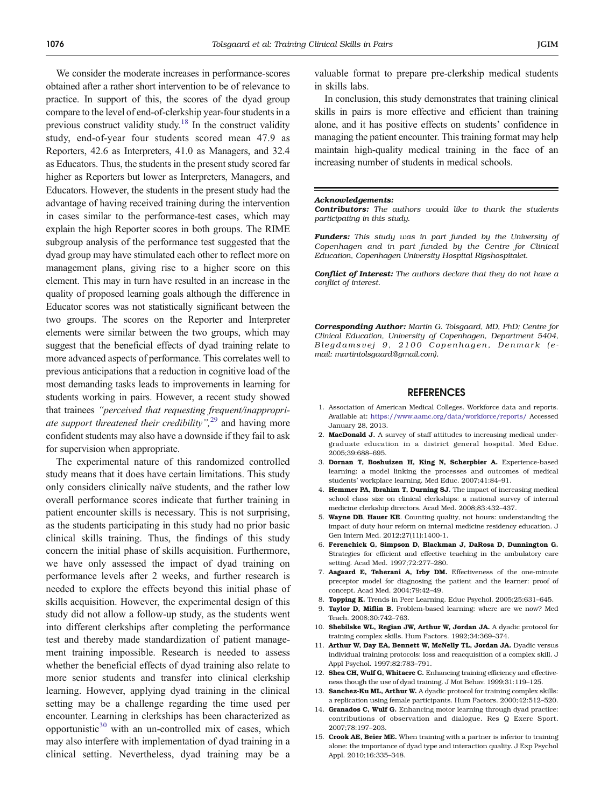<span id="page-4-0"></span>We consider the moderate increases in performance-scores obtained after a rather short intervention to be of relevance to practice. In support of this, the scores of the dyad group compare to the level of end-of-clerkship year-four students in a previous construct validity study.<sup>18</sup> In the construct validity study, end-of-year four students scored mean 47.9 as Reporters, 42.6 as Interpreters, 41.0 as Managers, and 32.4 as Educators. Thus, the students in the present study scored far higher as Reporters but lower as Interpreters, Managers, and Educators. However, the students in the present study had the advantage of having received training during the intervention in cases similar to the performance-test cases, which may explain the high Reporter scores in both groups. The RIME subgroup analysis of the performance test suggested that the dyad group may have stimulated each other to reflect more on management plans, giving rise to a higher score on this element. This may in turn have resulted in an increase in the quality of proposed learning goals although the difference in Educator scores was not statistically significant between the two groups. The scores on the Reporter and Interpreter elements were similar between the two groups, which may suggest that the beneficial effects of dyad training relate to more advanced aspects of performance. This correlates well to previous anticipations that a reduction in cognitive load of the most demanding tasks leads to improvements in learning for students working in pairs. However, a recent study showed that trainees "perceived that requesting frequent/inappropri*ate support threatened their credibility*",<sup>[29](#page-5-0)</sup> and having more confident students may also have a downside if they fail to ask for supervision when appropriate.

The experimental nature of this randomized controlled study means that it does have certain limitations. This study only considers clinically naïve students, and the rather low overall performance scores indicate that further training in patient encounter skills is necessary. This is not surprising, as the students participating in this study had no prior basic clinical skills training. Thus, the findings of this study concern the initial phase of skills acquisition. Furthermore, we have only assessed the impact of dyad training on performance levels after 2 weeks, and further research is needed to explore the effects beyond this initial phase of skills acquisition. However, the experimental design of this study did not allow a follow-up study, as the students went into different clerkships after completing the performance test and thereby made standardization of patient management training impossible. Research is needed to assess whether the beneficial effects of dyad training also relate to more senior students and transfer into clinical clerkship learning. However, applying dyad training in the clinical setting may be a challenge regarding the time used per encounter. Learning in clerkships has been characterized as opportunistic $30$  with an un-controlled mix of cases, which may also interfere with implementation of dyad training in a clinical setting. Nevertheless, dyad training may be a valuable format to prepare pre-clerkship medical students in skills labs.

In conclusion, this study demonstrates that training clinical skills in pairs is more effective and efficient than training alone, and it has positive effects on students' confidence in managing the patient encounter. This training format may help maintain high-quality medical training in the face of an increasing number of students in medical schools.

#### Acknowledgements:

**Contributors:** The authors would like to thank the students participating in this study.

Funders: This study was in part funded by the University of Copenhagen and in part funded by the Centre for Clinical Education, Copenhagen University Hospital Rigshospitalet.

Conflict of Interest: The authors declare that they do not have a conflict of interest.

Corresponding Author: Martin G. Tolsgaard, MD, PhD; Centre for Clinical Education, University of Copenhagen, Department 5404, Blegdamsvej 9, 2100 Copenhagen, Denmark (email: martintolsgaard@gmail.com).

#### REFERENCES

- 1. Association of American Medical Colleges. Workforce data and reports. Available at: <https://www.aamc.org/data/workforce/reports/> Accessed January 28, 2013.
- 2. MacDonald J. A survey of staff attitudes to increasing medical undergraduate education in a district general hospital. Med Educ. 2005;39:688–695.
- 3. Dornan T, Boshuizen H, King N, Scherpbier A. Experience-based learning: a model linking the processes and outcomes of medical students' workplace learning. Med Educ. 2007;41:84–91.
- 4. Hemmer PA, Ibrahim T, Durning SJ. The impact of increasing medical school class size on clinical clerkships: a national survey of internal medicine clerkship directors. Acad Med. 2008;83:432–437.
- 5. Wayne DB, Hauer KE. Counting quality, not hours: understanding the impact of duty hour reform on internal medicine residency education. J Gen Intern Med. 2012;27(11):1400-1.
- 6. Ferenchick G, Simpson D, Blackman J, DaRosa D, Dunnington G. Strategies for efficient and effective teaching in the ambulatory care setting. Acad Med. 1997;72:277–280.
- 7. Aagaard E, Teherani A, Irby DM. Effectiveness of the one-minute preceptor model for diagnosing the patient and the learner: proof of concept. Acad Med. 2004;79:42–49.
- 8. Topping K. Trends in Peer Learning. Educ Psychol. 2005;25:631–645.
- 9. Taylor D, Miflin B. Problem-based learning: where are we now? Med Teach. 2008;30:742–763.
- 10. Shebilske WL, Regian JW, Arthur W, Jordan JA. A dyadic protocol for training complex skills. Hum Factors. 1992;34:369–374.
- 11. Arthur W, Day EA, Bennett W, McNelly TL, Jordan JA. Dyadic versus individual training protocols: loss and reacquisition of a complex skill. J Appl Psychol. 1997;82:783–791.
- 12. Shea CH, Wulf G, Whitacre C. Enhancing training efficiency and effectiveness though the use of dyad training. J Mot Behav. 1999;31:119–125.
- 13. Sanchez-Ku ML, Arthur W. A dyadic protocol for training complex skills: a replication using female participants. Hum Factors. 2000;42:512–520.
- 14. Granados C, Wulf G. Enhancing motor learning through dyad practice: contributions of observation and dialogue. Res Q Exerc Sport. 2007;78:197–203.
- 15. Crook AE, Beier ME. When training with a partner is inferior to training alone: the importance of dyad type and interaction quality. J Exp Psychol Appl. 2010;16:335–348.